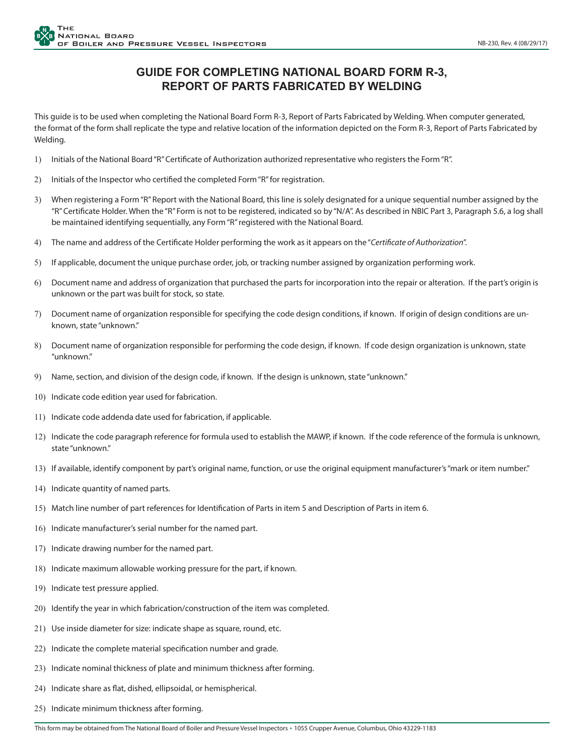## **GUIDE FOR COMPLETING NATIONAL BOARD FORM R-3, REPORT OF PARTS FABRICATED BY WELDING**

This guide is to be used when completing the National Board Form R-3, Report of Parts Fabricated by Welding. When computer generated, the format of the form shall replicate the type and relative location of the information depicted on the Form R-3, Report of Parts Fabricated by Welding.

- 1) Initials of the National Board "R" Certificate of Authorization authorized representative who registers the Form "R".
- 2) Initials of the Inspector who certified the completed Form "R" for registration.
- 3) When registering a Form "R" Report with the National Board, this line is solely designated for a unique sequential number assigned by the "R" Certificate Holder. When the "R" Form is not to be registered, indicated so by "N/A". As described in NBIC Part 3, Paragraph 5.6, a log shall be maintained identifying sequentially, any Form "R" registered with the National Board.
- 4) The name and address of the Certificate Holder performing the work as it appears on the "*Certificate of Authorization*".
- 5) If applicable, document the unique purchase order, job, or tracking number assigned by organization performing work.
- 6) Document name and address of organization that purchased the parts for incorporation into the repair or alteration. If the part's origin is unknown or the part was built for stock, so state.
- 7) Document name of organization responsible for specifying the code design conditions, if known. If origin of design conditions are unknown, state "unknown."
- 8) Document name of organization responsible for performing the code design, if known. If code design organization is unknown, state "unknown."
- 9) Name, section, and division of the design code, if known. If the design is unknown, state "unknown."
- 10) Indicate code edition year used for fabrication.
- 11) Indicate code addenda date used for fabrication, if applicable.
- 12) Indicate the code paragraph reference for formula used to establish the MAWP, if known. If the code reference of the formula is unknown, state "unknown."
- 13) If available, identify component by part's original name, function, or use the original equipment manufacturer's "mark or item number."
- 14) Indicate quantity of named parts.
- 15) Match line number of part references for Identification of Parts in item 5 and Description of Parts in item 6.
- 16) Indicate manufacturer's serial number for the named part.
- 17) Indicate drawing number for the named part.
- 18) Indicate maximum allowable working pressure for the part, if known.
- 19) Indicate test pressure applied.
- 20) Identify the year in which fabrication/construction of the item was completed.
- 21) Use inside diameter for size: indicate shape as square, round, etc.
- 22) Indicate the complete material specification number and grade.
- 23) Indicate nominal thickness of plate and minimum thickness after forming.
- 24) Indicate share as flat, dished, ellipsoidal, or hemispherical.
- 25) Indicate minimum thickness after forming.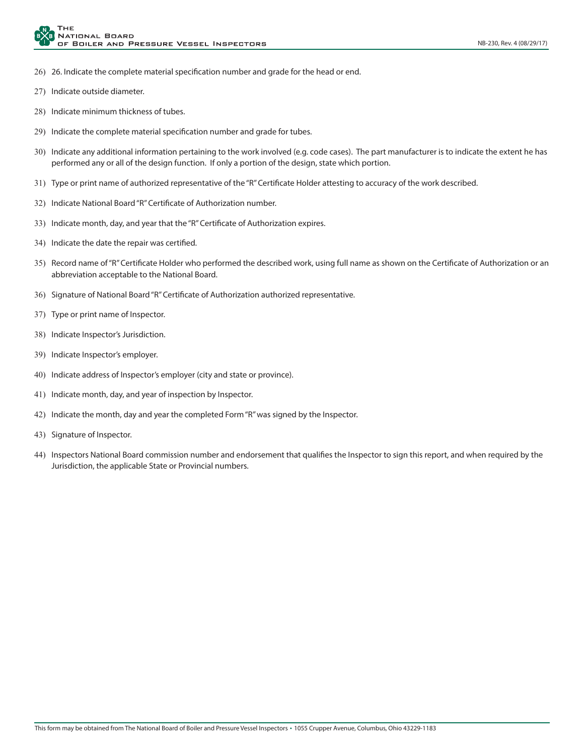- 26) 26. Indicate the complete material specification number and grade for the head or end.
- 27) Indicate outside diameter.
- 28) Indicate minimum thickness of tubes.
- 29) Indicate the complete material specification number and grade for tubes.
- 30) Indicate any additional information pertaining to the work involved (e.g. code cases). The part manufacturer is to indicate the extent he has performed any or all of the design function. If only a portion of the design, state which portion.
- 31) Type or print name of authorized representative of the "R" Certificate Holder attesting to accuracy of the work described.
- 32) Indicate National Board "R" Certificate of Authorization number.
- 33) Indicate month, day, and year that the "R" Certificate of Authorization expires.
- 34) Indicate the date the repair was certified.
- 35) Record name of "R" Certificate Holder who performed the described work, using full name as shown on the Certificate of Authorization or an abbreviation acceptable to the National Board.
- 36) Signature of National Board "R" Certificate of Authorization authorized representative.
- 37) Type or print name of Inspector.
- 38) Indicate Inspector's Jurisdiction.
- 39) Indicate Inspector's employer.
- 40) Indicate address of Inspector's employer (city and state or province).
- 41) Indicate month, day, and year of inspection by Inspector.
- 42) Indicate the month, day and year the completed Form "R" was signed by the Inspector.
- 43) Signature of Inspector.
- 44) Inspectors National Board commission number and endorsement that qualifies the Inspector to sign this report, and when required by the Jurisdiction, the applicable State or Provincial numbers.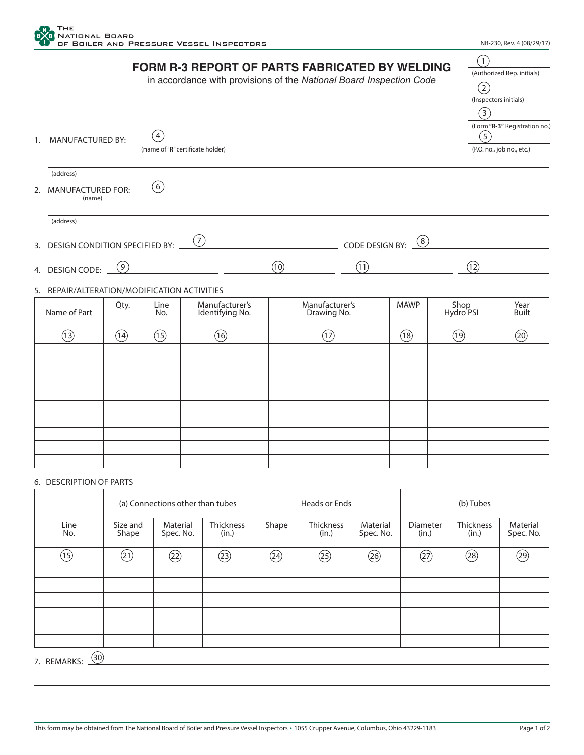

|             |                                                                   |                               | <b>FORM R-3 REPORT OF PARTS FABRICATED BY WELDING</b><br>in accordance with provisions of the National Board Inspection Code |                                   |      |                               |                       |                   | $\left(1\right)$<br>(Authorized Rep. initials)<br>(2)<br>(Inspectors initials) |                                                            |
|-------------|-------------------------------------------------------------------|-------------------------------|------------------------------------------------------------------------------------------------------------------------------|-----------------------------------|------|-------------------------------|-----------------------|-------------------|--------------------------------------------------------------------------------|------------------------------------------------------------|
| $1_{\cdot}$ | <b>MANUFACTURED BY:</b>                                           |                               | (4)                                                                                                                          | (name of "R" certificate holder)  |      |                               |                       |                   | $\left(3\right)$<br>$\left(5\right)$                                           | (Form "R-3" Registration no.)<br>(P.O. no., job no., etc.) |
|             | (address)<br>2. MANUFACTURED FOR: __<br>(name)<br>(address)       |                               | (6)                                                                                                                          |                                   |      |                               |                       |                   |                                                                                |                                                            |
|             | 3. DESIGN CONDITION SPECIFIED BY: _                               |                               |                                                                                                                              | $\circled{)}$                     |      |                               | CODE DESIGN BY: $(8)$ |                   |                                                                                |                                                            |
|             | 4. DESIGN CODE: _<br>5. REPAIR/ALTERATION/MODIFICATION ACTIVITIES | (9)                           |                                                                                                                              |                                   | (10) | (11)                          |                       |                   | (12)                                                                           |                                                            |
|             | Name of Part                                                      | Qty.                          | Line<br>No.                                                                                                                  | Manufacturer's<br>Identifying No. |      | Manufacturer's<br>Drawing No. | <b>MAWP</b>           | Shop<br>Hydro PSI |                                                                                | Year<br><b>Built</b>                                       |
|             | $\circled{1}$                                                     | $\left( \overline{14}\right)$ | $\circled{15}$                                                                                                               | (16)                              |      | 17)                           | (18)                  | (19)              |                                                                                | $\circled{20}$                                             |
|             |                                                                   |                               |                                                                                                                              |                                   |      |                               |                       |                   |                                                                                |                                                            |
|             |                                                                   |                               |                                                                                                                              |                                   |      |                               |                       |                   |                                                                                |                                                            |
|             |                                                                   |                               |                                                                                                                              |                                   |      |                               |                       |                   |                                                                                |                                                            |

## 6. DESCRIPTION OF PARTS

|                     | (a) Connections other than tubes |                       |                    | Heads or Ends |                    |                       | (b) Tubes         |                    |                       |  |
|---------------------|----------------------------------|-----------------------|--------------------|---------------|--------------------|-----------------------|-------------------|--------------------|-----------------------|--|
| Line<br>No.         | Size and<br>Shape                | Material<br>Spec. No. | Thickness<br>(in.) | Shape         | Thickness<br>(in.) | Material<br>Spec. No. | Diameter<br>(in.) | Thickness<br>(in.) | Material<br>Spec. No. |  |
| (15)                | (21)                             | (22)                  | (23)               | (24)          | (25)               | (26)                  | (27)              | (28)               | (29)                  |  |
|                     |                                  |                       |                    |               |                    |                       |                   |                    |                       |  |
|                     |                                  |                       |                    |               |                    |                       |                   |                    |                       |  |
|                     |                                  |                       |                    |               |                    |                       |                   |                    |                       |  |
|                     |                                  |                       |                    |               |                    |                       |                   |                    |                       |  |
|                     |                                  |                       |                    |               |                    |                       |                   |                    |                       |  |
|                     |                                  |                       |                    |               |                    |                       |                   |                    |                       |  |
| (30)<br>7. REMARKS: |                                  |                       |                    |               |                    |                       |                   |                    |                       |  |